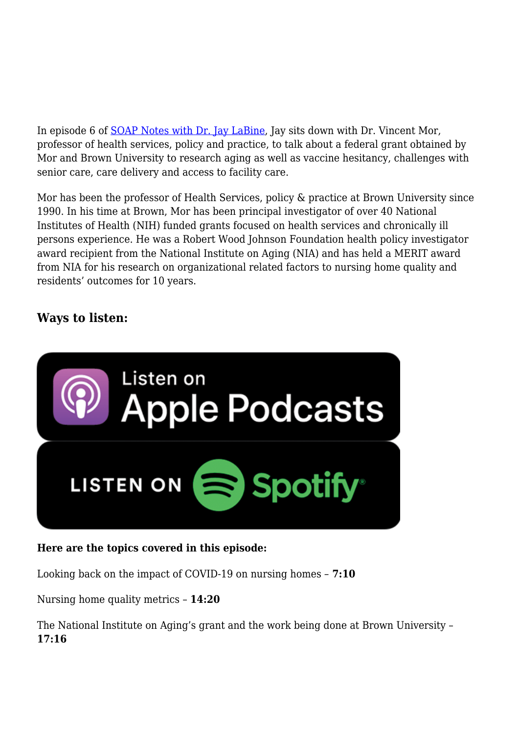In episode 6 of [SOAP Notes with Dr. Jay LaBine](https://navihealth.com/soap-notes/), Jay sits down with Dr. Vincent Mor, professor of health services, policy and practice, to talk about a federal grant obtained by Mor and Brown University to research aging as well as vaccine hesitancy, challenges with senior care, care delivery and access to facility care.

Mor has been the professor of Health Services, policy & practice at Brown University since 1990. In his time at Brown, Mor has been principal investigator of over 40 National Institutes of Health (NIH) funded grants focused on health services and chronically ill persons experience. He was a Robert Wood Johnson Foundation health policy investigator award recipient from the National Institute on Aging (NIA) and has held a MERIT award from NIA for his research on organizational related factors to nursing home quality and residents' outcomes for 10 years.

## **Ways to listen:**



## **Here are the topics covered in this episode:**

Looking back on the impact of COVID-19 on nursing homes – **7:10**

Nursing home quality metrics – **14:20**

The National Institute on Aging's grant and the work being done at Brown University – **17:16**